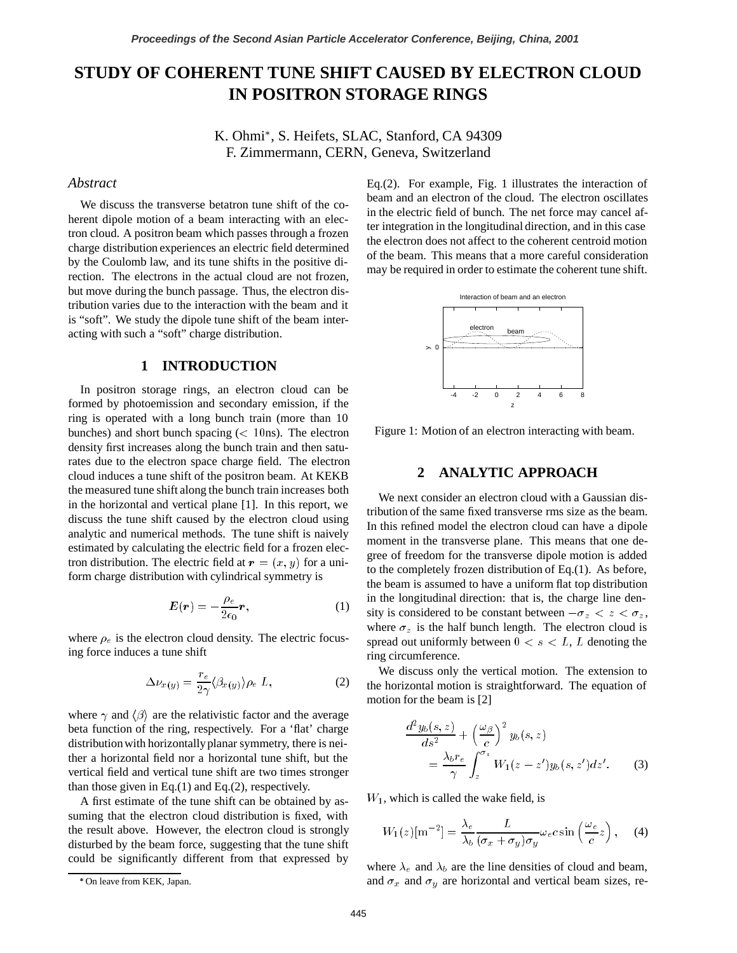# **STUDY OF COHERENT TUNE SHIFT CAUSED BY ELECTRON CLOUD IN POSITRON STORAGE RINGS**

K. Ohmi , S. Heifets, SLAC, Stanford, CA 94309 F. Zimmermann, CERN, Geneva, Switzerland

#### *Abstract*

We discuss the transverse betatron tune shift of the coherent dipole motion of a beam interacting with an electron cloud. A positron beam which passes through a frozen charge distribution experiences an electric field determined by the Coulomb law, and its tune shifts in the positive direction. The electrons in the actual cloud are not frozen, but move during the bunch passage. Thus, the electron distribution varies due to the interaction with the beam and it is "soft". We study the dipole tune shift of the beam interacting with such a "soft" charge distribution.

### **1 INTRODUCTION**

In positron storage rings, an electron cloud can be formed by photoemission and secondary emission, if the ring is operated with a long bunch train (more than 10 bunches) and short bunch spacing  $(< 10 \text{ns})$ . The electron density first increases along the bunch train and then saturates due to the electron space charge field. The electron cloud induces a tune shift of the positron beam. At KEKB the measured tune shift along the bunch train increases both in the horizontal and vertical plane [1]. In this report, we discuss the tune shift caused by the electron cloud using analytic and numerical methods. The tune shift is naively estimated by calculating the electric field for a frozen electron distribution. The electric field at  $\mathbf{r} = (x, y)$  for a uniform charge distribution with cylindrical symmetry is

$$
E(r) = -\frac{\rho_e}{2\epsilon_0}r,\tag{1}
$$

where  $\rho_e$  is the electron cloud density. The electric focusing force induces a tune shift

$$
\Delta \nu_{x(y)} = \frac{r_e}{2\gamma} \langle \beta_{x(y)} \rangle \rho_e L, \qquad (2)
$$

where  $\gamma$  and  $\langle \beta \rangle$  are the relativistic factor and the average beta function of the ring, respectively. For a 'flat' charge distribution with horizontally planar symmetry, there is neither a horizontal field nor a horizontal tune shift, but the vertical field and vertical tune shift are two times stronger than those given in Eq.(1) and Eq.(2), respectively.

A first estimate of the tune shift can be obtained by assuming that the electron cloud distribution is fixed, with the result above. However, the electron cloud is strongly disturbed by the beam force, suggesting that the tune shift could be significantly different from that expressed by Eq.(2). For example, Fig. 1 illustrates the interaction of beam and an electron of the cloud. The electron oscillates in the electric field of bunch. The net force may cancel after integration in the longitudinal direction, and in this case the electron does not affect to the coherent centroid motion of the beam. This means that a more careful consideration may be required in order to estimate the coherent tune shift.



Figure 1: Motion of an electron interacting with beam.

# **2 ANALYTIC APPROACH**

We next consider an electron cloud with a Gaussian distribution of the same fixed transverse rms size as the beam. In this refined model the electron cloud can have a dipole moment in the transverse plane. This means that one degree of freedom for the transverse dipole motion is added to the completely frozen distribution of Eq.(1). As before, the beam is assumed to have a uniform flat top distribution in the longitudinal direction: that is, the charge line density is considered to be constant between  $-\sigma_z < z < \sigma_z$ , where  $\sigma_z$  is the half bunch length. The electron cloud is spread out uniformly between  $0 < s < L$ , L denoting the ring circumference.

We discuss only the vertical motion. The extension to the horizontal motion is straightforward. The equation of motion for the beam is [2]

$$
\frac{d^2y_b(s,z)}{ds^2} + \left(\frac{\omega_\beta}{c}\right)^2 y_b(s,z)
$$
  
= 
$$
\frac{\lambda_b r_e}{\gamma} \int_z^{\sigma_z} W_1(z-z') y_b(s,z') dz'.
$$
 (3)

 $W_1$ , which is called the wake field, is

$$
W_1(z)[\mathrm{m}^{-2}] = \frac{\lambda_e}{\lambda_b} \frac{L}{(\sigma_x + \sigma_y)\sigma_y} \omega_e c \sin\left(\frac{\omega_e}{c} z\right), \quad (4)
$$

where  $\lambda_e$  and  $\lambda_b$  are the line densities of cloud and beam, and  $\sigma_x$  and  $\sigma_y$  are horizontal and vertical beam sizes, re-

On leave from KEK, Japan.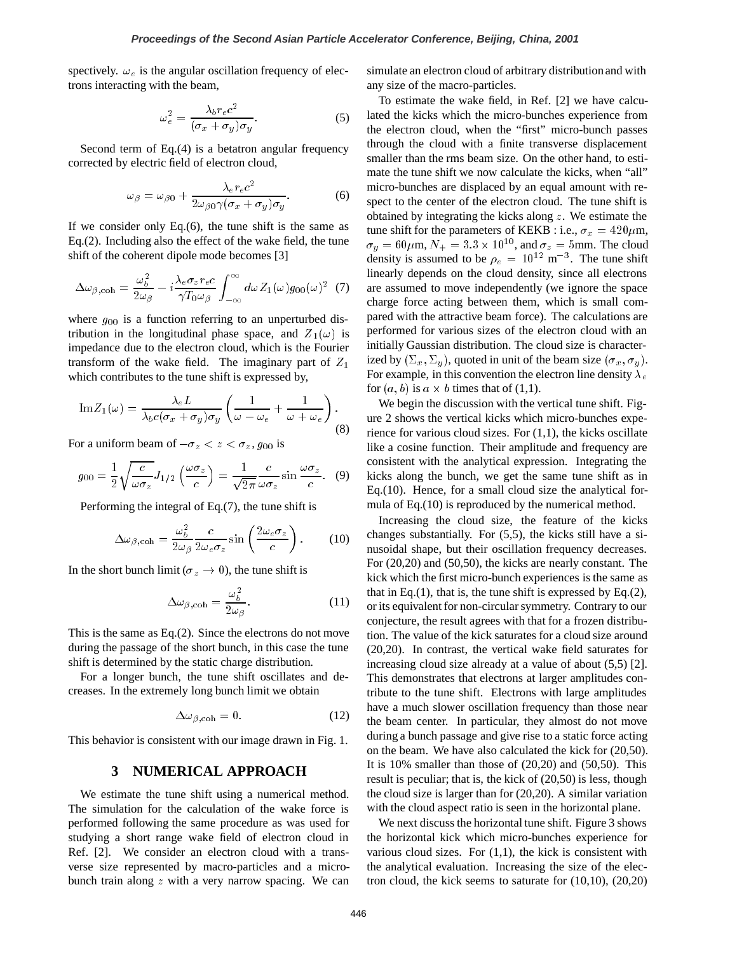spectively.  $\omega_e$  is the angular oscillation frequency of electrons interacting with the beam,

$$
\omega_e^2 = \frac{\lambda_b r_e c^2}{(\sigma_x + \sigma_y)\sigma_y}.\tag{5}
$$

Second term of Eq.(4) is a betatron angular frequency corrected by electric field of electron cloud,

$$
\omega_{\beta} = \omega_{\beta 0} + \frac{\lambda_e r_e c^2}{2\omega_{\beta 0} \gamma (\sigma_x + \sigma_y) \sigma_y}.
$$
 (6)

If we consider only Eq. $(6)$ , the tune shift is the same as Eq.(2). Including also the effect of the wake field, the tune shift of the coherent dipole mode becomes [3]

$$
\Delta\omega_{\beta,\,\text{coh}} = \frac{\omega_b^2}{2\omega_\beta} - i\frac{\lambda_e \sigma_z r_e c}{\gamma T_0 \omega_\beta} \int_{-\infty}^{\infty} d\omega Z_1(\omega) g_{00}(\omega)^2
$$
 (7)

where  $g_{00}$  is a function referring to an unperturbed distribution in the longitudinal phase space, and  $Z_1(\omega)$  is impedance due to the electron cloud, which is the Fourier transform of the wake field. The imaginary part of  $Z_1$ which contributes to the tune shift is expressed by,

$$
\mathrm{Im}Z_{1}(\omega) = \frac{\lambda_{e}L}{\lambda_{b}c(\sigma_{x} + \sigma_{y})\sigma_{y}} \left(\frac{1}{\omega - \omega_{e}} + \frac{1}{\omega + \omega_{e}}\right).
$$
\n(8)

For a uniform beam of  $-\sigma_z < z < \sigma_z$ ,  $g_{00}$  is

$$
g_{00} = \frac{1}{2} \sqrt{\frac{c}{\omega \sigma_z}} J_{1/2} \left( \frac{\omega \sigma_z}{c} \right) = \frac{1}{\sqrt{2\pi}} \frac{c}{\omega \sigma_z} \sin \frac{\omega \sigma_z}{c}.
$$
 (9)

Performing the integral of Eq.(7), the tune shift is

$$
\Delta \omega_{\beta, \text{coh}} = \frac{\omega_b^2}{2\omega_\beta} \frac{c}{2\omega_e \sigma_z} \sin \left( \frac{2\omega_e \sigma_z}{c} \right). \tag{10}
$$

In the short bunch limit ( $\sigma_z \to 0$ ), the tune shift is

$$
\Delta \omega_{\beta, \text{coh}} = \frac{\omega_b^2}{2\omega_\beta}.
$$
 (11)

This is the same as Eq.(2). Since the electrons do not move during the passage of the short bunch, in this case the tune shift is determined by the static charge distribution.

For a longer bunch, the tune shift oscillates and decreases. In the extremely long bunch limit we obtain

$$
\Delta \omega_{\beta, \text{coh}} = 0. \tag{12}
$$

This behavior is consistent with our image drawn in Fig. 1.

#### **3 NUMERICAL APPROACH**

We estimate the tune shift using a numerical method. The simulation for the calculation of the wake force is performed following the same procedure as was used for studying a short range wake field of electron cloud in Ref. [2]. We consider an electron cloud with a transverse size represented by macro-particles and a microbunch train along  $z$  with a very narrow spacing. We can

simulate an electron cloud of arbitrary distribution and with any size of the macro-particles.

To estimate the wake field, in Ref. [2] we have calculated the kicks which the micro-bunches experience from the electron cloud, when the "first" micro-bunch passes through the cloud with a finite transverse displacement smaller than the rms beam size. On the other hand, to estimate the tune shift we now calculate the kicks, when "all" micro-bunches are displaced by an equal amount with respect to the center of the electron cloud. The tune shift is obtained by integrating the kicks along  $z$ . We estimate the tune shift for the parameters of KEKB : i.e.,  $\sigma_x = 420 \mu \text{m}$ ,  $\sigma_y = 60 \,\mu$ m,  $N_+ = 3.3 \times 10^{10}$ , and  $\sigma_z = 5$ mm. The cloud density is assumed to be  $\rho_e = 10^{12} \text{ m}^{-3}$ . The tune shift linearly depends on the cloud density, since all electrons are assumed to move independently (we ignore the space charge force acting between them, which is small compared with the attractive beam force). The calculations are performed for various sizes of the electron cloud with an initially Gaussian distribution. The cloud size is characterized by  $(\Sigma_x, \Sigma_y)$ , quoted in unit of the beam size  $(\sigma_x, \sigma_y)$ . For example, in this convention the electron line density  $\lambda_e$ for  $(a, b)$  is  $a \times b$  times that of (1,1).

We begin the discussion with the vertical tune shift. Figure 2 shows the vertical kicks which micro-bunches experience for various cloud sizes. For  $(1,1)$ , the kicks oscillate like a cosine function. Their amplitude and frequency are consistent with the analytical expression. Integrating the kicks along the bunch, we get the same tune shift as in Eq.(10). Hence, for a small cloud size the analytical formula of Eq.(10) is reproduced by the numerical method.

Increasing the cloud size, the feature of the kicks changes substantially. For (5,5), the kicks still have a sinusoidal shape, but their oscillation frequency decreases. For (20,20) and (50,50), the kicks are nearly constant. The kick which the first micro-bunch experiences is the same as that in Eq.(1), that is, the tune shift is expressed by Eq.(2), or its equivalent for non-circular symmetry. Contrary to our conjecture, the result agrees with that for a frozen distribution. The value of the kick saturates for a cloud size around (20,20). In contrast, the vertical wake field saturates for increasing cloud size already at a value of about (5,5) [2]. This demonstrates that electrons at larger amplitudes contribute to the tune shift. Electrons with large amplitudes have a much slower oscillation frequency than those near the beam center. In particular, they almost do not move during a bunch passage and give rise to a static force acting on the beam. We have also calculated the kick for (20,50). It is 10% smaller than those of (20,20) and (50,50). This result is peculiar; that is, the kick of (20,50) is less, though the cloud size is larger than for (20,20). A similar variation with the cloud aspect ratio is seen in the horizontal plane.

We next discuss the horizontal tune shift. Figure 3 shows the horizontal kick which micro-bunches experience for various cloud sizes. For  $(1,1)$ , the kick is consistent with the analytical evaluation. Increasing the size of the electron cloud, the kick seems to saturate for (10,10), (20,20)